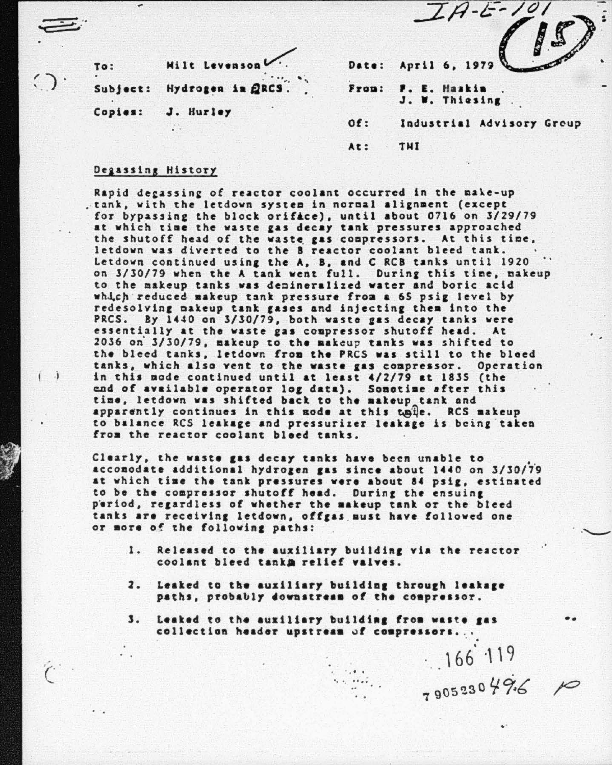|                  |                   |       | Date: April 6, 1979             |
|------------------|-------------------|-------|---------------------------------|
| To:<br>$\bullet$ | Milt Levenson     |       |                                 |
| Subject:         | Hydrogen in QRCS. | Fron: | F. E. Haskin<br>J. W. Thiesing. |
| Copies:          | J. Hurley         |       |                                 |
|                  |                   | Of:   | Industrial Advisory Group       |
|                  |                   | At:   | THI                             |

 $I A-E-10$ 

## Deaassins History

 $\hat{C}$ 

. .

..

Rapid degassing of reactor coolant occurred in the make-up . tank, with the letdown system in normal alignment (except for bypassing the block orifice), until about 0716 on 3/29/79 at which time the waste gas decay tank pressures approached the shutoff head of the waste gas compressors. At this time,<br>letdown was diverted to the B reactor coolant bleed tank. Letdown continued using the A, B, and C RCB tanks until 1920 on 3/30/79 when the A tank went full. During this time, makeup to the makeup tanks was denineralized water and boric acid which reduced makeup tank pressure from a 65 psig level by redesolving nakeup tank gases and injecting them into the PRCS. By 1440 on 3/30/79, both waste gas decay tanks were essentially at the waste gas compressor shutoff head. At <sup>2036</sup>*oi* 3/30/79, aakeup to the aakeup tanks vas shifted to the bleed tanks, letdown from the PRCS was still to the bleed tanks, which also vent to the waste gas compressor. Operation in this node continued until at least 4/2/79 at 1835 (the end of available operator log data). Sometime after this tiae, letdown vas shifted back to the aakeup tank and apparently continues in this node at this taile. RCS makeup to balance RCS leakage and pressurizer leakage is being taken from the reactor coolant bleed tanks.

Clearly, the waste gas decay tanks have been unable to •. accomodate additional hydrogen gas since about 1440 on 3/30/79 at which time the tank pressures were about 84 psig, estinated to be the compressor shutoff head. During the ensuing period, regardless of whether the makeup tank or the bleed tanks are receiving letdown, offgas must have followed one or more of the following paths:

- 1. Released to the auxiliary building via the reactor coolant bleed tanka relief valves.
- 2. Leaked to the auxiliary building through leakage paths, probably downstream of the compressor.
- $\mathbf 3$ . Leaked to the auxiliary building from waste gas collection header upstream of compressors...

 $\frac{166.119}{105230496}$ 

..

••

. .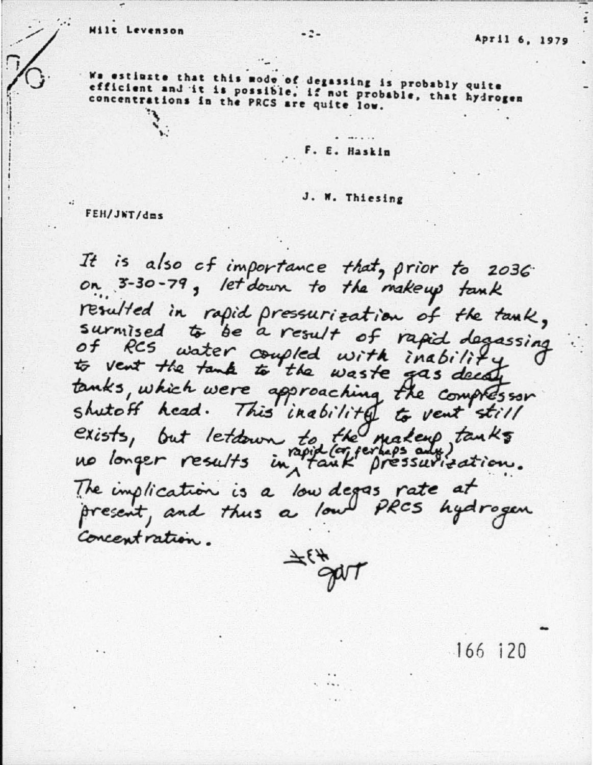We estimate that this mode of degassing is probably quite<br>efficient and it is possible, if not probable, that hydrogen concentrations in the PRCS are quite low.

F. E. Haskin

J. W. Thiesing

FEH/JWT/dms

It is also of importance that, prior to 2036 on 3-30-79, let down to the makeup tank resulted in rapid pressurization of the tank, surmised to be a result of rapid degassing of RCS water coupled with inability tanks, which were approaching the compressor shutoff head. This inability to vent still exists, but letdown to the making tanks The implication is a low degas rate at present, and thus a low PRCS hydrogen Concentration.



 $-166$  120